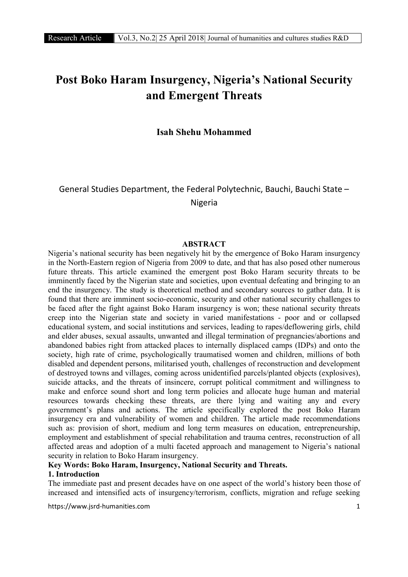# Post Boko Haram Insurgency, Nigeria's National Security and Emergent Threats

Isah Shehu Mohammed

General Studies Department, the Federal Polytechnic, Bauchi, Bauchi State – Nigeria

#### ABSTRACT

Nigeria's national security has been negatively hit by the emergence of Boko Haram insurgency in the North-Eastern region of Nigeria from 2009 to date, and that has also posed other numerous future threats. This article examined the emergent post Boko Haram security threats to be imminently faced by the Nigerian state and societies, upon eventual defeating and bringing to an end the insurgency. The study is theoretical method and secondary sources to gather data. It is found that there are imminent socio-economic, security and other national security challenges to be faced after the fight against Boko Haram insurgency is won; these national security threats creep into the Nigerian state and society in varied manifestations - poor and or collapsed educational system, and social institutions and services, leading to rapes/deflowering girls, child and elder abuses, sexual assaults, unwanted and illegal termination of pregnancies/abortions and abandoned babies right from attacked places to internally displaced camps (IDPs) and onto the society, high rate of crime, psychologically traumatised women and children, millions of both disabled and dependent persons, militarised youth, challenges of reconstruction and development of destroyed towns and villages, coming across unidentified parcels/planted objects (explosives), suicide attacks, and the threats of insincere, corrupt political commitment and willingness to make and enforce sound short and long term policies and allocate huge human and material resources towards checking these threats, are there lying and waiting any and every government's plans and actions. The article specifically explored the post Boko Haram insurgency era and vulnerability of women and children. The article made recommendations such as: provision of short, medium and long term measures on education, entrepreneurship, employment and establishment of special rehabilitation and trauma centres, reconstruction of all affected areas and adoption of a multi faceted approach and management to Nigeria's national security in relation to Boko Haram insurgency.

#### Key Words: Boko Haram, Insurgency, National Security and Threats. 1. Introduction

The immediate past and present decades have on one aspect of the world's history been those of increased and intensified acts of insurgency/terrorism, conflicts, migration and refuge seeking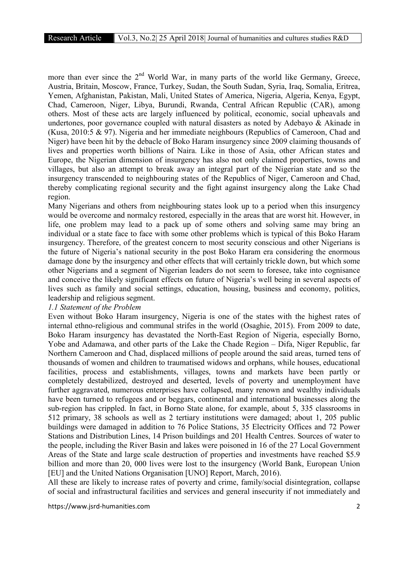more than ever since the  $2<sup>nd</sup>$  World War, in many parts of the world like Germany, Greece, Austria, Britain, Moscow, France, Turkey, Sudan, the South Sudan, Syria, Iraq, Somalia, Eritrea, Yemen, Afghanistan, Pakistan, Mali, United States of America, Nigeria, Algeria, Kenya, Egypt, Chad, Cameroon, Niger, Libya, Burundi, Rwanda, Central African Republic (CAR), among others. Most of these acts are largely influenced by political, economic, social upheavals and undertones, poor governance coupled with natural disasters as noted by Adebayo & Akinade in (Kusa, 2010:5 & 97). Nigeria and her immediate neighbours (Republics of Cameroon, Chad and Niger) have been hit by the debacle of Boko Haram insurgency since 2009 claiming thousands of lives and properties worth billions of Naira. Like in those of Asia, other African states and Europe, the Nigerian dimension of insurgency has also not only claimed properties, towns and villages, but also an attempt to break away an integral part of the Nigerian state and so the insurgency transcended to neighbouring states of the Republics of Niger, Cameroon and Chad, thereby complicating regional security and the fight against insurgency along the Lake Chad region.

Many Nigerians and others from neighbouring states look up to a period when this insurgency would be overcome and normalcy restored, especially in the areas that are worst hit. However, in life, one problem may lead to a pack up of some others and solving same may bring an individual or a state face to face with some other problems which is typical of this Boko Haram insurgency. Therefore, of the greatest concern to most security conscious and other Nigerians is the future of Nigeria's national security in the post Boko Haram era considering the enormous damage done by the insurgency and other effects that will certainly trickle down, but which some other Nigerians and a segment of Nigerian leaders do not seem to foresee, take into cognisance and conceive the likely significant effects on future of Nigeria's well being in several aspects of lives such as family and social settings, education, housing, business and economy, politics, leadership and religious segment.

# *1.1 Statement of the Problem*

Even without Boko Haram insurgency, Nigeria is one of the states with the highest rates of internal ethno-religious and communal strifes in the world (Osaghie, 2015). From 2009 to date, Boko Haram insurgency has devastated the North-East Region of Nigeria, especially Borno, Yobe and Adamawa, and other parts of the Lake the Chade Region – Difa, Niger Republic, far Northern Cameroon and Chad, displaced millions of people around the said areas, turned tens of thousands of women and children to traumatised widows and orphans, while houses, educational facilities, process and establishments, villages, towns and markets have been partly or completely destabilized, destroyed and deserted, levels of poverty and unemployment have further aggravated, numerous enterprises have collapsed, many renown and wealthy individuals have been turned to refugees and or beggars, continental and international businesses along the sub-region has crippled. In fact, in Borno State alone, for example, about 5, 335 classrooms in 512 primary, 38 schools as well as 2 tertiary institutions were damaged; about 1, 205 public buildings were damaged in addition to 76 Police Stations, 35 Electricity Offices and 72 Power Stations and Distribution Lines, 14 Prison buildings and 201 Health Centres. Sources of water to the people, including the River Basin and lakes were poisoned in 16 of the 27 Local Government Areas of the State and large scale destruction of properties and investments have reached \$5.9 billion and more than 20, 000 lives were lost to the insurgency (World Bank, European Union [EU] and the United Nations Organisation [UNO] Report, March, 2016).

All these are likely to increase rates of poverty and crime, family/social disintegration, collapse of social and infrastructural facilities and services and general insecurity if not immediately and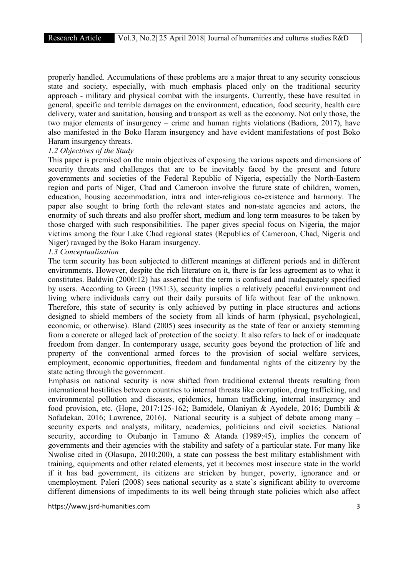properly handled. Accumulations of these problems are a major threat to any security conscious state and society, especially, with much emphasis placed only on the traditional security approach - military and physical combat with the insurgents. Currently, these have resulted in general, specific and terrible damages on the environment, education, food security, health care delivery, water and sanitation, housing and transport as well as the economy. Not only those, the two major elements of insurgency – crime and human rights violations (Badiora, 2017), have also manifested in the Boko Haram insurgency and have evident manifestations of post Boko Haram insurgency threats.

#### *1.2 Objectives of the Study*

This paper is premised on the main objectives of exposing the various aspects and dimensions of security threats and challenges that are to be inevitably faced by the present and future governments and societies of the Federal Republic of Nigeria, especially the North-Eastern region and parts of Niger, Chad and Cameroon involve the future state of children, women, education, housing accommodation, intra and inter-religious co-existence and harmony. The paper also sought to bring forth the relevant states and non-state agencies and actors, the enormity of such threats and also proffer short, medium and long term measures to be taken by those charged with such responsibilities. The paper gives special focus on Nigeria, the major victims among the four Lake Chad regional states (Republics of Cameroon, Chad, Nigeria and Niger) ravaged by the Boko Haram insurgency.

# *1.3 Conceptualisation*

The term security has been subjected to different meanings at different periods and in different environments. However, despite the rich literature on it, there is far less agreement as to what it constitutes. Baldwin (2000:12) has asserted that the term is confused and inadequately specified by users. According to Green (1981:3), security implies a relatively peaceful environment and living where individuals carry out their daily pursuits of life without fear of the unknown. Therefore, this state of security is only achieved by putting in place structures and actions designed to shield members of the society from all kinds of harm (physical, psychological, economic, or otherwise). Bland (2005) sees insecurity as the state of fear or anxiety stemming from a concrete or alleged lack of protection of the society. It also refers to lack of or inadequate freedom from danger. In contemporary usage, security goes beyond the protection of life and property of the conventional armed forces to the provision of social welfare services, employment, economic opportunities, freedom and fundamental rights of the citizenry by the state acting through the government.

Emphasis on national security is now shifted from traditional external threats resulting from international hostilities between countries to internal threats like corruption, drug trafficking, and environmental pollution and diseases, epidemics, human trafficking, internal insurgency and food provision, etc. (Hope, 2017:125-162; Bamidele, Olaniyan & Ayodele, 2016; Dumbili & Sofadekan, 2016; Lawrence, 2016). National security is a subject of debate among many – security experts and analysts, military, academics, politicians and civil societies. National security, according to Otubanjo in Tamuno & Atanda (1989:45), implies the concern of governments and their agencies with the stability and safety of a particular state. For many like Nwolise cited in (Olasupo, 2010:200), a state can possess the best military establishment with training, equipments and other related elements, yet it becomes most insecure state in the world if it has bad government, its citizens are stricken by hunger, poverty, ignorance and or unemployment. Paleri (2008) sees national security as a state's significant ability to overcome different dimensions of impediments to its well being through state policies which also affect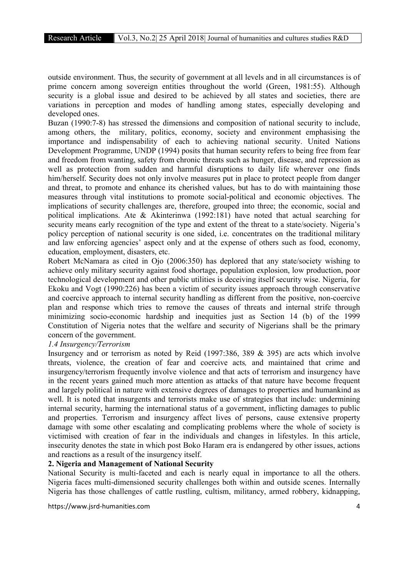outside environment. Thus, the security of government at all levels and in all circumstances is of prime concern among sovereign entities throughout the world (Green, 1981:55). Although security is a global issue and desired to be achieved by all states and societies, there are variations in perception and modes of handling among states, especially developing and developed ones.

Buzan (1990:7-8) has stressed the dimensions and composition of national security to include, among others, the military, politics, economy, society and environment emphasising the importance and indispensability of each to achieving national security. United Nations Development Programme, UNDP (1994) posits that human security refers to being free from fear and freedom from wanting, safety from chronic threats such as hunger, disease, and repression as well as protection from sudden and harmful disruptions to daily life wherever one finds him/herself. Security does not only involve measures put in place to protect people from danger and threat, to promote and enhance its cherished values, but has to do with maintaining those measures through vital institutions to promote social-political and economic objectives. The implications of security challenges are, therefore, grouped into three; the economic, social and political implications. Ate & Akinterinwa (1992:181) have noted that actual searching for security means early recognition of the type and extent of the threat to a state/society. Nigeria's policy perception of national security is one sided, i.e. concentrates on the traditional military and law enforcing agencies' aspect only and at the expense of others such as food, economy, education, employment, disasters, etc.

Robert McNamara as cited in Ojo (2006:350) has deplored that any state/society wishing to achieve only military security against food shortage, population explosion, low production, poor technological development and other public utilities is deceiving itself security wise. Nigeria, for Ekoku and Vogt (1990:226) has been a victim of security issues approach through conservative and coercive approach to internal security handling as different from the positive, non-coercive plan and response which tries to remove the causes of threats and internal strife through minimizing socio-economic hardship and inequities just as Section 14 (b) of the 1999 Constitution of Nigeria notes that the welfare and security of Nigerians shall be the primary concern of the government.

# *1.4 Insurgency/Terrorism*

Insurgency and or terrorism as noted by Reid (1997:386, 389 & 395) are acts which involve threats, violence, the creation of fear and coercive acts*,* and maintained that crime and insurgency/terrorism frequently involve violence and that acts of terrorism and insurgency have in the recent years gained much more attention as attacks of that nature have become frequent and largely political in nature with extensive degrees of damages to properties and humankind as well. It is noted that insurgents and terrorists make use of strategies that include: undermining internal security, harming the international status of a government, inflicting damages to public and properties. Terrorism and insurgency affect lives of persons, cause extensive property damage with some other escalating and complicating problems where the whole of society is victimised with creation of fear in the individuals and changes in lifestyles. In this article, insecurity denotes the state in which post Boko Haram era is endangered by other issues, actions and reactions as a result of the insurgency itself.

#### 2. Nigeria and Management of National Security

National Security is multi-faceted and each is nearly equal in importance to all the others. Nigeria faces multi-dimensioned security challenges both within and outside scenes. Internally Nigeria has those challenges of cattle rustling, cultism, militancy, armed robbery, kidnapping,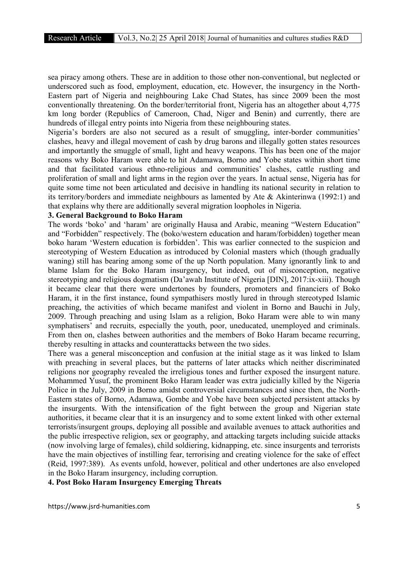sea piracy among others. These are in addition to those other non-conventional, but neglected or underscored such as food, employment, education, etc. However, the insurgency in the North-Eastern part of Nigeria and neighbouring Lake Chad States, has since 2009 been the most conventionally threatening. On the border/territorial front, Nigeria has an altogether about 4,775 km long border (Republics of Cameroon, Chad, Niger and Benin) and currently, there are hundreds of illegal entry points into Nigeria from these neighbouring states.

Nigeria's borders are also not secured as a result of smuggling, inter-border communities' clashes, heavy and illegal movement of cash by drug barons and illegally gotten states resources and importantly the smuggle of small, light and heavy weapons. This has been one of the major reasons why Boko Haram were able to hit Adamawa, Borno and Yobe states within short time and that facilitated various ethno-religious and communities' clashes, cattle rustling and proliferation of small and light arms in the region over the years. In actual sense, Nigeria has for quite some time not been articulated and decisive in handling its national security in relation to its territory/borders and immediate neighbours as lamented by Ate & Akinterinwa (1992:1) and that explains why there are additionally several migration loopholes in Nigeria.

# 3. General Background to Boko Haram

The words 'boko' and 'haram' are originally Hausa and Arabic, meaning "Western Education" and "Forbidden" respectively. The (boko/western education and haram/forbidden) together mean boko haram 'Western education is forbidden'. This was earlier connected to the suspicion and stereotyping of Western Education as introduced by Colonial masters which (though gradually waning) still has bearing among some of the up North population. Many ignorantly link to and blame Islam for the Boko Haram insurgency, but indeed, out of misconception, negative stereotyping and religious dogmatism (Da'awah Institute of Nigeria [DIN], 2017:ix-xiii). Though it became clear that there were undertones by founders, promoters and financiers of Boko Haram, it in the first instance, found sympathisers mostly lured in through stereotyped Islamic preaching, the activities of which became manifest and violent in Borno and Bauchi in July, 2009. Through preaching and using Islam as a religion, Boko Haram were able to win many symphatisers' and recruits, especially the youth, poor, uneducated, unemployed and criminals. From then on, clashes between authorities and the members of Boko Haram became recurring, thereby resulting in attacks and counterattacks between the two sides.

There was a general misconception and confusion at the initial stage as it was linked to Islam with preaching in several places, but the patterns of later attacks which neither discriminated religions nor geography revealed the irreligious tones and further exposed the insurgent nature. Mohammed Yusuf, the prominent Boko Haram leader was extra judicially killed by the Nigeria Police in the July, 2009 in Borno amidst controversial circumstances and since then, the North-Eastern states of Borno, Adamawa, Gombe and Yobe have been subjected persistent attacks by the insurgents. With the intensification of the fight between the group and Nigerian state authorities, it became clear that it is an insurgency and to some extent linked with other external terrorists/insurgent groups, deploying all possible and available avenues to attack authorities and the public irrespective religion, sex or geography, and attacking targets including suicide attacks (now involving large of females), child soldiering, kidnapping, etc. since insurgents and terrorists have the main objectives of instilling fear, terrorising and creating violence for the sake of effect (Reid, 1997:389). As events unfold, however, political and other undertones are also enveloped in the Boko Haram insurgency, including corruption.

4. Post Boko Haram Insurgency Emerging Threats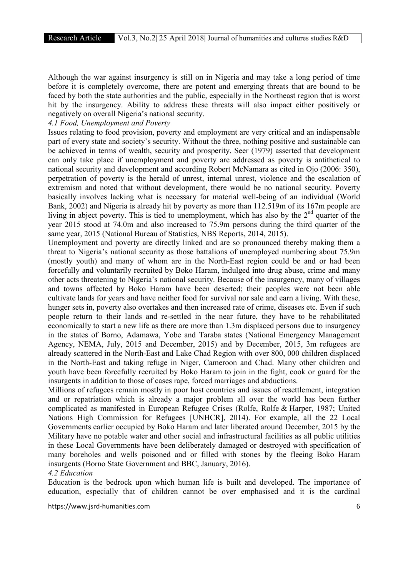Although the war against insurgency is still on in Nigeria and may take a long period of time before it is completely overcome, there are potent and emerging threats that are bound to be faced by both the state authorities and the public, especially in the Northeast region that is worst hit by the insurgency. Ability to address these threats will also impact either positively or negatively on overall Nigeria's national security.

# *4.1 Food, Unemployment and Poverty*

Issues relating to food provision, poverty and employment are very critical and an indispensable part of every state and society's security. Without the three, nothing positive and sustainable can be achieved in terms of wealth, security and prosperity. Seer (1979) asserted that development can only take place if unemployment and poverty are addressed as poverty is antithetical to national security and development and according Robert McNamara as cited in Ojo (2006: 350), perpetration of poverty is the herald of unrest, internal unrest, violence and the escalation of extremism and noted that without development, there would be no national security. Poverty basically involves lacking what is necessary for material well-being of an individual (World Bank, 2002) and Nigeria is already hit by poverty as more than 112.519m of its 167m people are living in abject poverty. This is tied to unemployment, which has also by the  $2<sup>nd</sup>$  quarter of the year 2015 stood at 74.0m and also increased to 75.9m persons during the third quarter of the same year, 2015 (National Bureau of Statistics, NBS Reports, 2014, 2015).

Unemployment and poverty are directly linked and are so pronounced thereby making them a threat to Nigeria's national security as those battalions of unemployed numbering about 75.9m (mostly youth) and many of whom are in the North-East region could be and or had been forcefully and voluntarily recruited by Boko Haram, indulged into drug abuse, crime and many other acts threatening to Nigeria's national security. Because of the insurgency, many of villages and towns affected by Boko Haram have been deserted; their peoples were not been able cultivate lands for years and have neither food for survival nor sale and earn a living. With these, hunger sets in, poverty also overtakes and then increased rate of crime, diseases etc. Even if such people return to their lands and re-settled in the near future, they have to be rehabilitated economically to start a new life as there are more than 1.3m displaced persons due to insurgency in the states of Borno, Adamawa, Yobe and Taraba states (National Emergency Management Agency, NEMA, July, 2015 and December, 2015) and by December, 2015, 3m refugees are already scattered in the North-East and Lake Chad Region with over 800, 000 children displaced in the North-East and taking refuge in Niger, Cameroon and Chad. Many other children and youth have been forcefully recruited by Boko Haram to join in the fight, cook or guard for the insurgents in addition to those of cases rape, forced marriages and abductions.

Millions of refugees remain mostly in poor host countries and issues of resettlement, integration and or repatriation which is already a major problem all over the world has been further complicated as manifested in European Refugee Crises (Rolfe, Rolfe & Harper, 1987; United Nations High Commission for Refugees [UNHCR], 2014). For example, all the 22 Local Governments earlier occupied by Boko Haram and later liberated around December, 2015 by the Military have no potable water and other social and infrastructural facilities as all public utilities in these Local Governments have been deliberately damaged or destroyed with specification of many boreholes and wells poisoned and or filled with stones by the fleeing Boko Haram insurgents (Borno State Government and BBC, January, 2016).

#### *4.2 Education*

Education is the bedrock upon which human life is built and developed. The importance of education, especially that of children cannot be over emphasised and it is the cardinal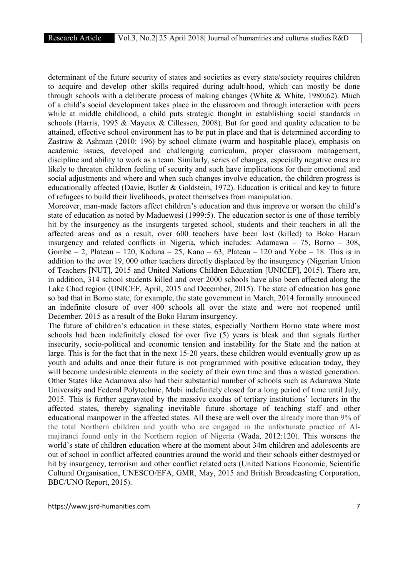determinant of the future security of states and societies as every state/society requires children to acquire and develop other skills required during adult-hood, which can mostly be done through schools with a deliberate process of making changes (White & White, 1980:62). Much of a child's social development takes place in the classroom and through interaction with peers while at middle childhood, a child puts strategic thought in establishing social standards in schools (Harris, 1995 & Mayeux & Cillessen, 2008). But for good and quality education to be attained, effective school environment has to be put in place and that is determined according to Zastraw & Ashman (2010: 196) by school climate (warm and hospitable place), emphasis on academic issues, developed and challenging curriculum, proper classroom management, discipline and ability to work as a team. Similarly, series of changes, especially negative ones are likely to threaten children feeling of security and such have implications for their emotional and social adjustments and where and when such changes involve education, the children progress is educationally affected (Davie, Butler & Goldstein, 1972). Education is critical and key to future of refugees to build their livelihoods, protect themselves from manipulation.

Moreover, man-made factors affect children's education and thus improve or worsen the child's state of education as noted by Maduewesi (1999:5). The education sector is one of those terribly hit by the insurgency as the insurgents targeted school, students and their teachers in all the affected areas and as a result, over 600 teachers have been lost (killed) to Boko Haram insurgency and related conflicts in Nigeria, which includes: Adamawa – 75, Borno – 308, Gombe  $-2$ , Plateau  $-120$ , Kaduna  $-25$ , Kano  $-63$ , Plateau  $-120$  and Yobe  $-18$ . This is in addition to the over 19, 000 other teachers directly displaced by the insurgency (Nigerian Union of Teachers [NUT], 2015 and United Nations Children Education [UNICEF], 2015). There are, in addition, 314 school students killed and over 2000 schools have also been affected along the Lake Chad region (UNICEF, April, 2015 and December, 2015). The state of education has gone so bad that in Borno state, for example, the state government in March, 2014 formally announced an indefinite closure of over 400 schools all over the state and were not reopened until December, 2015 as a result of the Boko Haram insurgency.

The future of children's education in these states, especially Northern Borno state where most schools had been indefinitely closed for over five (5) years is bleak and that signals further insecurity, socio-political and economic tension and instability for the State and the nation at large. This is for the fact that in the next 15-20 years, these children would eventually grow up as youth and adults and once their future is not programmed with positive education today, they will become undesirable elements in the society of their own time and thus a wasted generation. Other States like Adamawa also had their substantial number of schools such as Adamawa State University and Federal Polytechnic, Mubi indefinitely closed for a long period of time until July, 2015. This is further aggravated by the massive exodus of tertiary institutions' lecturers in the affected states, thereby signaling inevitable future shortage of teaching staff and other educational manpower in the affected states. All these are well over the already more than 9% of the total Northern children and youth who are engaged in the unfortunate practice of Almajiranci found only in the Northern region of Nigeria (Wada, 2012:120). This worsens the world's state of children education where at the moment about 34m children and adolescents are out of school in conflict affected countries around the world and their schools either destroyed or hit by insurgency, terrorism and other conflict related acts (United Nations Economic, Scientific Cultural Organisation, UNESCO/EFA, GMR, May, 2015 and British Broadcasting Corporation, BBC/UNO Report, 2015).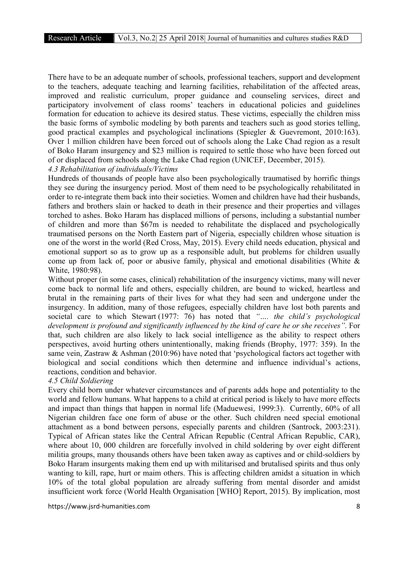There have to be an adequate number of schools, professional teachers, support and development to the teachers, adequate teaching and learning facilities, rehabilitation of the affected areas, improved and realistic curriculum, proper guidance and counseling services, direct and participatory involvement of class rooms' teachers in educational policies and guidelines formation for education to achieve its desired status. These victims, especially the children miss the basic forms of symbolic modeling by both parents and teachers such as good stories telling, good practical examples and psychological inclinations (Spiegler & Guevremont, 2010:163). Over 1 million children have been forced out of schools along the Lake Chad region as a result of Boko Haram insurgency and \$23 million is required to settle those who have been forced out of or displaced from schools along the Lake Chad region (UNICEF, December, 2015).

*4.3 Rehabilitation of individuals/Victims*

Hundreds of thousands of people have also been psychologically traumatised by horrific things they see during the insurgency period. Most of them need to be psychologically rehabilitated in order to re-integrate them back into their societies. Women and children have had their husbands, fathers and brothers slain or hacked to death in their presence and their properties and villages torched to ashes. Boko Haram has displaced millions of persons, including a substantial number of children and more than \$67m is needed to rehabilitate the displaced and psychologically traumatised persons on the North Eastern part of Nigeria, especially children whose situation is one of the worst in the world (Red Cross, May, 2015). Every child needs education, physical and emotional support so as to grow up as a responsible adult, but problems for children usually come up from lack of, poor or abusive family, physical and emotional disabilities (White  $\&$ White, 1980:98).

Without proper (in some cases, clinical) rehabilitation of the insurgency victims, many will never come back to normal life and others, especially children, are bound to wicked, heartless and brutal in the remaining parts of their lives for what they had seen and undergone under the insurgency. In addition, many of those refugees, especially children have lost both parents and societal care to which Stewart (1977: 76) has noted that *"…. the child's psychological development is profound and significantly influenced by the kind of care he or she receives"*. For that, such children are also likely to lack social intelligence as the ability to respect others perspectives, avoid hurting others unintentionally, making friends (Brophy, 1977: 359). In the same vein, Zastraw & Ashman (2010:96) have noted that 'psychological factors act together with biological and social conditions which then determine and influence individual's actions, reactions, condition and behavior.

#### *4.5 Child Soldiering*

Every child born under whatever circumstances and of parents adds hope and potentiality to the world and fellow humans. What happens to a child at critical period is likely to have more effects and impact than things that happen in normal life (Maduewesi, 1999:3). Currently, 60% of all Nigerian children face one form of abuse or the other. Such children need special emotional attachment as a bond between persons, especially parents and children (Santrock, 2003:231). Typical of African states like the Central African Republic (Central African Republic, CAR), where about 10, 000 children are forcefully involved in child soldering by over eight different militia groups, many thousands others have been taken away as captives and or child-soldiers by Boko Haram insurgents making them end up with militarised and brutalised spirits and thus only wanting to kill, rape, hurt or maim others. This is affecting children amidst a situation in which 10% of the total global population are already suffering from mental disorder and amidst insufficient work force (World Health Organisation [WHO] Report, 2015). By implication, most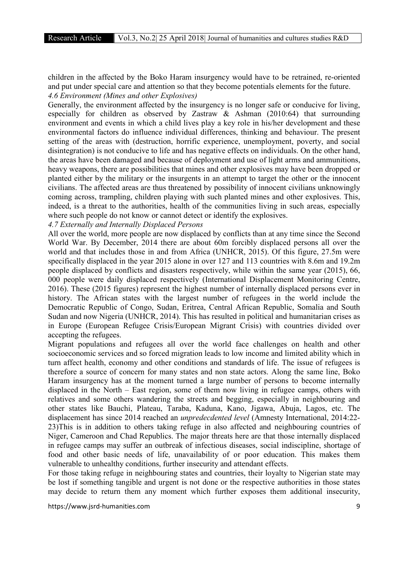children in the affected by the Boko Haram insurgency would have to be retrained, re-oriented and put under special care and attention so that they become potentials elements for the future. *4.6 Environment (Mines and other Explosives)*

Generally, the environment affected by the insurgency is no longer safe or conducive for living, especially for children as observed by Zastraw & Ashman (2010:64) that surrounding environment and events in which a child lives play a key role in his/her development and these environmental factors do influence individual differences, thinking and behaviour. The present setting of the areas with (destruction, horrific experience, unemployment, poverty, and social disintegration) is not conducive to life and has negative effects on individuals. On the other hand, the areas have been damaged and because of deployment and use of light arms and ammunitions, heavy weapons, there are possibilities that mines and other explosives may have been dropped or planted either by the military or the insurgents in an attempt to target the other or the innocent civilians. The affected areas are thus threatened by possibility of innocent civilians unknowingly coming across, trampling, children playing with such planted mines and other explosives. This, indeed, is a threat to the authorities, health of the communities living in such areas, especially where such people do not know or cannot detect or identify the explosives.

# *4.7 Externally and Internally Displaced Persons*

All over the world, more people are now displaced by conflicts than at any time since the Second World War. By December, 2014 there are about 60m forcibly displaced persons all over the world and that includes those in and from Africa (UNHCR, 2015). Of this figure, 27.5m were specifically displaced in the year 2015 alone in over 127 and 113 countries with 8.6m and 19.2m people displaced by conflicts and disasters respectively, while within the same year (2015), 66, 000 people were daily displaced respectively (International Displacement Monitoring Centre, 2016). These (2015 figures) represent the highest number of internally displaced persons ever in history. The African states with the largest number of refugees in the world include the Democratic Republic of Congo, Sudan, Eritrea, Central African Republic, Somalia and South Sudan and now Nigeria (UNHCR, 2014). This has resulted in political and humanitarian crises as in Europe (European Refugee Crisis/European Migrant Crisis) with countries divided over accepting the refugees.

Migrant populations and refugees all over the world face challenges on health and other socioeconomic services and so forced migration leads to low income and limited ability which in turn affect health, economy and other conditions and standards of life. The issue of refugees is therefore a source of concern for many states and non state actors. Along the same line, Boko Haram insurgency has at the moment turned a large number of persons to become internally displaced in the North – East region, some of them now living in refugee camps, others with relatives and some others wandering the streets and begging, especially in neighbouring and other states like Bauchi, Plateau, Taraba, Kaduna, Kano, Jigawa, Abuja, Lagos, etc. The displacement has since 2014 reached an *unpredecdented level* (Amnesty International, 2014:22- 23)This is in addition to others taking refuge in also affected and neighbouring countries of Niger, Cameroon and Chad Republics. The major threats here are that those internally displaced in refugee camps may suffer an outbreak of infectious diseases, social indiscipline, shortage of food and other basic needs of life, unavailability of or poor education. This makes them vulnerable to unhealthy conditions, further insecurity and attendant effects.

For those taking refuge in neighbouring states and countries, their loyalty to Nigerian state may be lost if something tangible and urgent is not done or the respective authorities in those states may decide to return them any moment which further exposes them additional insecurity,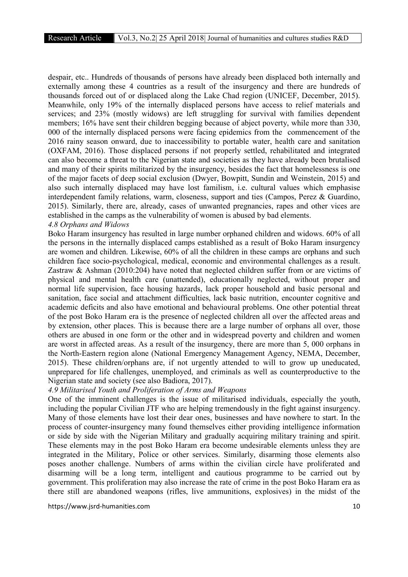despair, etc.. Hundreds of thousands of persons have already been displaced both internally and externally among these 4 countries as a result of the insurgency and there are hundreds of thousands forced out of or displaced along the Lake Chad region (UNICEF, December, 2015). Meanwhile, only 19% of the internally displaced persons have access to relief materials and services; and 23% (mostly widows) are left struggling for survival with families dependent members; 16% have sent their children begging because of abject poverty, while more than 330, 000 of the internally displaced persons were facing epidemics from the commencement of the 2016 rainy season onward, due to inaccessibility to portable water, health care and sanitation (OXFAM, 2016). Those displaced persons if not properly settled, rehabilitated and integrated can also become a threat to the Nigerian state and societies as they have already been brutalised and many of their spirits militarized by the insurgency, besides the fact that homelessness is one of the major facets of deep social exclusion (Dwyer, Bowpitt, Sundin and Weinstein, 2015) and also such internally displaced may have lost familism, i.e. cultural values which emphasise interdependent family relations, warm, closeness, support and ties (Campos, Perez & Guardino, 2015). Similarly, there are, already, cases of unwanted pregnancies, rapes and other vices are established in the camps as the vulnerability of women is abused by bad elements. *4.8 Orphans and Widows*

# Boko Haram insurgency has resulted in large number orphaned children and widows. 60% of all the persons in the internally displaced camps established as a result of Boko Haram insurgency are women and children. Likewise, 60% of all the children in these camps are orphans and such children face socio-psychological, medical, economic and environmental challenges as a result. Zastraw & Ashman (2010:204) have noted that neglected children suffer from or are victims of physical and mental health care (unattended), educationally neglected, without proper and normal life supervision, face housing hazards, lack proper household and basic personal and sanitation, face social and attachment difficulties, lack basic nutrition, encounter cognitive and academic deficits and also have emotional and behavioural problems. One other potential threat of the post Boko Haram era is the presence of neglected children all over the affected areas and by extension, other places. This is because there are a large number of orphans all over, those others are abused in one form or the other and in widespread poverty and children and women are worst in affected areas. As a result of the insurgency, there are more than 5, 000 orphans in the North-Eastern region alone (National Emergency Management Agency, NEMA, December, 2015). These children/orphans are, if not urgently attended to will to grow up uneducated, unprepared for life challenges, unemployed, and criminals as well as counterproductive to the

# Nigerian state and society (see also Badiora, 2017).

# *4.9 Militarised Youth and Proliferation of Arms and Weapons*

One of the imminent challenges is the issue of militarised individuals, especially the youth, including the popular Civilian JTF who are helping tremendously in the fight against insurgency. Many of those elements have lost their dear ones, businesses and have nowhere to start. In the process of counter-insurgency many found themselves either providing intelligence information or side by side with the Nigerian Military and gradually acquiring military training and spirit. These elements may in the post Boko Haram era become undesirable elements unless they are integrated in the Military, Police or other services. Similarly, disarming those elements also poses another challenge. Numbers of arms within the civilian circle have proliferated and disarming will be a long term, intelligent and cautious programme to be carried out by government. This proliferation may also increase the rate of crime in the post Boko Haram era as there still are abandoned weapons (rifles, live ammunitions, explosives) in the midst of the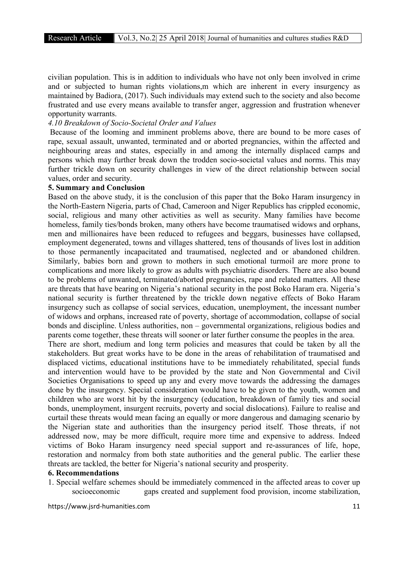civilian population. This is in addition to individuals who have not only been involved in crime and or subjected to human rights violations,m which are inherent in every insurgency as maintained by Badiora, (2017). Such individuals may extend such to the society and also become frustrated and use every means available to transfer anger, aggression and frustration whenever opportunity warrants.

# *4.10 Breakdown of Socio-Societal Order and Values*

Because of the looming and imminent problems above, there are bound to be more cases of rape, sexual assault, unwanted, terminated and or aborted pregnancies, within the affected and neighbouring areas and states, especially in and among the internally displaced camps and persons which may further break down the trodden socio-societal values and norms. This may further trickle down on security challenges in view of the direct relationship between social values, order and security.

#### 5. Summary and Conclusion

Based on the above study, it is the conclusion of this paper that the Boko Haram insurgency in the North-Eastern Nigeria, parts of Chad, Cameroon and Niger Republics has crippled economic, social, religious and many other activities as well as security. Many families have become homeless, family ties/bonds broken, many others have become traumatised widows and orphans, men and millionaires have been reduced to refugees and beggars, businesses have collapsed, employment degenerated, towns and villages shattered, tens of thousands of lives lost in addition to those permanently incapacitated and traumatised, neglected and or abandoned children. Similarly, babies born and grown to mothers in such emotional turmoil are more prone to complications and more likely to grow as adults with psychiatric disorders. There are also bound to be problems of unwanted, terminated/aborted pregnancies, rape and related matters. All these are threats that have bearing on Nigeria's national security in the post Boko Haram era. Nigeria's national security is further threatened by the trickle down negative effects of Boko Haram insurgency such as collapse of social services, education, unemployment, the incessant number of widows and orphans, increased rate of poverty, shortage of accommodation, collapse of social bonds and discipline. Unless authorities, non – governmental organizations, religious bodies and parents come together, these threats will sooner or later further consume the peoples in the area.

There are short, medium and long term policies and measures that could be taken by all the stakeholders. But great works have to be done in the areas of rehabilitation of traumatised and displaced victims, educational institutions have to be immediately rehabilitated, special funds and intervention would have to be provided by the state and Non Governmental and Civil Societies Organisations to speed up any and every move towards the addressing the damages done by the insurgency. Special consideration would have to be given to the youth, women and children who are worst hit by the insurgency (education, breakdown of family ties and social bonds, unemployment, insurgent recruits, poverty and social dislocations). Failure to realise and curtail these threats would mean facing an equally or more dangerous and damaging scenario by the Nigerian state and authorities than the insurgency period itself. Those threats, if not addressed now, may be more difficult, require more time and expensive to address. Indeed victims of Boko Haram insurgency need special support and re-assurances of life, hope, restoration and normalcy from both state authorities and the general public. The earlier these threats are tackled, the better for Nigeria's national security and prosperity.

#### 6. Recommendations

1. Special welfare schemes should be immediately commenced in the affected areas to cover up socioeconomic gaps created and supplement food provision, income stabilization,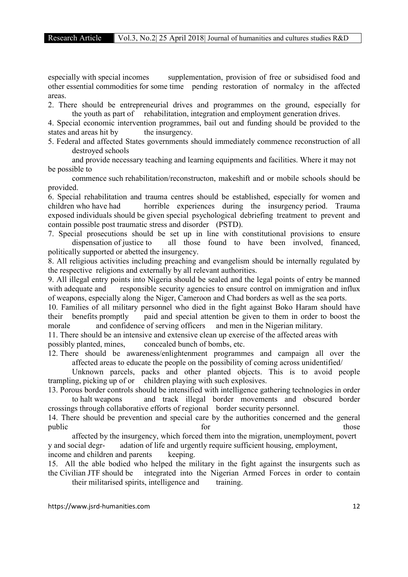especially with special incomes supplementation, provision of free or subsidised food and other essential commodities for some time pending restoration of normalcy in the affected areas.

2. There should be entrepreneurial drives and programmes on the ground, especially for the youth as part of rehabilitation, integration and employment generation drives.

4. Special economic intervention programmes, bail out and funding should be provided to the states and areas hit by the insurgency.

5. Federal and affected States governments should immediately commence reconstruction of all destroyed schools

and provide necessary teaching and learning equipments and facilities. Where it may not be possible to

commence such rehabilitation/reconstructon, makeshift and or mobile schools should be provided.

6. Special rehabilitation and trauma centres should be established, especially for women and children who have had horrible experiences during the insurgency period. Trauma exposed individuals should be given special psychological debriefing treatment to prevent and contain possible post traumatic stress and disorder (PSTD).

7. Special prosecutions should be set up in line with constitutional provisions to ensure dispensation of justice to all those found to have been involved, financed, politically supported or abetted the insurgency.

8. All religious activities including preaching and evangelism should be internally regulated by the respective religions and externally by all relevant authorities.

9. All illegal entry points into Nigeria should be sealed and the legal points of entry be manned with adequate and responsible security agencies to ensure control on immigration and influx of weapons, especially along the Niger, Cameroon and Chad borders as well as the sea ports.

10. Families of all military personnel who died in the fight against Boko Haram should have their benefits promptly paid and special attention be given to them in order to boost the morale and confidence of serving officers and men in the Nigerian military.

11. There should be an intensive and extensive clean up exercise of the affected areas with possibly planted, mines, concealed bunch of bombs, etc.

12. There should be awareness/enlightenment programmes and campaign all over the affected areas to educate the people on the possibility of coming across unidentified/

Unknown parcels, packs and other planted objects. This is to avoid people trampling, picking up of or children playing with such explosives.

13. Porous border controls should be intensified with intelligence gathering technologies in order to halt weapons and track illegal border movements and obscured border crossings through collaborative efforts of regional border security personnel.

14. There should be prevention and special care by the authorities concerned and the general public those those through the series of the series of the series of the series of the series of the series of the series of the series of the series of the series of the series of the series of the series of the series of

affected by the insurgency, which forced them into the migration, unemployment, povert y and social degr- adation of life and urgently require sufficient housing, employment,

income and children and parents keeping.

15. All the able bodied who helped the military in the fight against the insurgents such as the Civilian JTF should be integrated into the Nigerian Armed Forces in order to contain their militarised spirits, intelligence and training.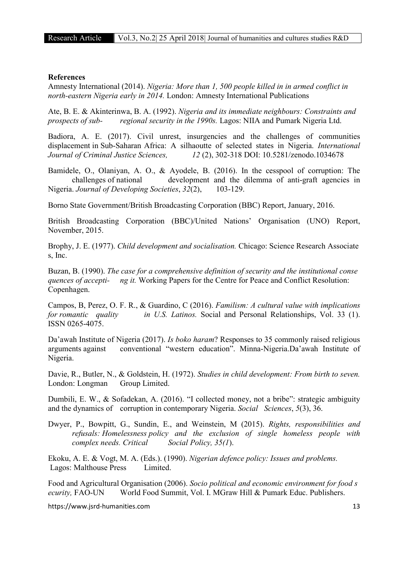#### References

Amnesty International (2014). *Nigeria: More than 1, 500 people killed in in armed conflict in north-eastern Nigeria early in 2014.* London: Amnesty International Publications

Ate, B. E. & Akinterinwa, B. A. (1992). *Nigeria and its immediate neighbours: Constraints and prospects of sub- regional security in the 1990s.* Lagos: NIIA and Pumark Nigeria Ltd.

Badiora, A. E. (2017). Civil unrest, insurgencies and the challenges of communities displacement in Sub-Saharan Africa: A silhaoutte of selected states in Nigeria. *International Journal of Criminal Justice Sciences, 12* (2), 302-318 DOI: 10.5281/zenodo.1034678

Bamidele, O., Olaniyan, A. O., & Ayodele, B. (2016). In the cesspool of corruption: The challenges of national development and the dilemma of anti-graft agencies in Nigeria. *Journal of Developing Societies*, *32*(2), 103-129.

Borno State Government/British Broadcasting Corporation (BBC) Report, January, 2016.

British Broadcasting Corporation (BBC)/United Nations' Organisation (UNO) Report, November, 2015.

Brophy, J. E. (1977). *Child development and socialisation.* Chicago: Science Research Associate s, Inc.

Buzan, B. (1990). *The case for a comprehensive definition of security and the institutional conse quences of accepti- ng it.* Working Papers for the Centre for Peace and Conflict Resolution: Copenhagen.

Campos, B, Perez, O. F. R., & Guardino, C (2016). *Familism: A cultural value with implications for romantic quality in U.S. Latinos.* Social and Personal Relationships, Vol. 33 (1). ISSN 0265-4075.

Da'awah Institute of Nigeria (2017). *Is boko haram*? Responses to 35 commonly raised religious arguments against conventional "western education". Minna-Nigeria.Da'awah Institute of Nigeria.

Davie, R., Butler, N., & Goldstein, H. (1972). *Studies in child development: From birth to seven.* London: Longman Group Limited.

Dumbili, E. W., & Sofadekan, A. (2016). "I collected money, not a bribe": strategic ambiguity and the dynamics of corruption in contemporary Nigeria. *Social Sciences*, *5*(3), 36.

Dwyer, P., Bowpitt, G., Sundin, E., and Weinstein, M (2015). *Rights, responsibilities and refusals: Homelessness policy and the exclusion of single homeless people with complex needs. Critical Social Policy, 35(1*).

Ekoku, A. E. & Vogt, M. A. (Eds.). (1990). *Nigerian defence policy: Issues and problems.* Lagos: Malthouse Press Limited.

Food and Agricultural Organisation (2006). *Socio political and economic environment for food s ecurity,* FAO-UN World Food Summit, Vol. I. MGraw Hill & Pumark Educ. Publishers.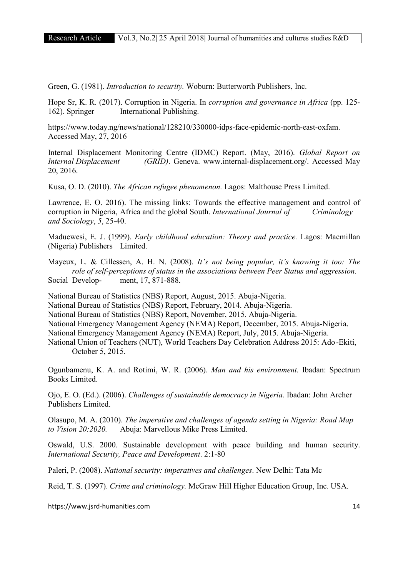Green, G. (1981). *Introduction to security.* Woburn: Butterworth Publishers, Inc.

Hope Sr, K. R. (2017). Corruption in Nigeria. In *corruption and governance in Africa* (pp. 125- 162). Springer International Publishing.

https://www.today.ng/news/national/128210/330000-idps-face-epidemic-north-east-oxfam. Accessed May, 27, 2016

Internal Displacement Monitoring Centre (IDMC) Report. (May, 2016). *Global Report on Internal Displacement (GRID)*. Geneva. www.internal-displacement.org/. Accessed May 20, 2016.

Kusa, O. D. (2010). *The African refugee phenomenon.* Lagos: Malthouse Press Limited.

Lawrence, E. O. 2016). The missing links: Towards the effective management and control of corruption in Nigeria, Africa and the global South. *International Journal of Criminology and Sociology*, *5*, 25-40.

Maduewesi, E. J. (1999). *Early childhood education: Theory and practice.* Lagos: Macmillan (Nigeria) Publishers Limited.

Mayeux, L. & Cillessen, A. H. N. (2008). *It's not being popular, it's knowing it too: The role of self-perceptions of status in the associations between Peer Status and aggression.* Social Develop- ment, 17, 871-888.

National Bureau of Statistics (NBS) Report, August, 2015. Abuja-Nigeria.

National Bureau of Statistics (NBS) Report, February, 2014. Abuja-Nigeria.

National Bureau of Statistics (NBS) Report, November, 2015. Abuja-Nigeria.

National Emergency Management Agency (NEMA) Report, December, 2015. Abuja-Nigeria.

National Emergency Management Agency (NEMA) Report, July, 2015. Abuja-Nigeria.

National Union of Teachers (NUT), World Teachers Day Celebration Address 2015: Ado-Ekiti, October 5, 2015.

Ogunbamenu, K. A. and Rotimi, W. R. (2006). *Man and his environment.* Ibadan: Spectrum Books Limited.

Ojo, E. O. (Ed.). (2006). *Challenges of sustainable democracy in Nigeria.* Ibadan: John Archer Publishers Limited.

Olasupo, M. A. (2010). *The imperative and challenges of agenda setting in Nigeria: Road Map to Vision 20:2020.* Abuja: Marvellous Mike Press Limited.

Oswald, U.S. 2000. Sustainable development with peace building and human security. *International Security, Peace and Development*. 2:1-80

Paleri, P. (2008). *National security: imperatives and challenges*. New Delhi: Tata Mc

Reid, T. S. (1997). *Crime and criminology.* McGraw Hill Higher Education Group, Inc*.* USA.